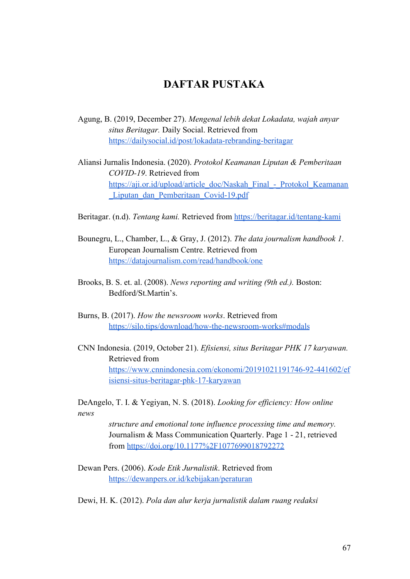## **DAFTAR PUSTAKA**

- Agung, B. (2019, December 27). *Mengenal lebih dekat Lokadata, wajah anyar situs Beritagar.* Daily Social. Retrieved from <https://dailysocial.id/post/lokadata-rebranding-beritagar>
- Aliansi Jurnalis Indonesia. (2020). *Protokol Keamanan Liputan & Pemberitaan COVID-19*. Retrieved from [https://aji.or.id/upload/article\\_doc/Naskah\\_Final\\_-\\_Protokol\\_Keamanan](https://aji.or.id/upload/article_doc/Naskah_Final_-_Protokol_Keamanan_Liputan_dan_Pemberitaan_Covid-19.pdf) [\\_Liputan\\_dan\\_Pemberitaan\\_Covid-19.pdf](https://aji.or.id/upload/article_doc/Naskah_Final_-_Protokol_Keamanan_Liputan_dan_Pemberitaan_Covid-19.pdf)
- Beritagar. (n.d). *Tentang kami*. Retrieved from <https://beritagar.id/tentang-kami>
- Bounegru, L., Chamber, L., & Gray, J. (2012). *The data journalism handbook 1*. European Journalism Centre. Retrieved from <https://datajournalism.com/read/handbook/one>
- Brooks, B. S. et. al. (2008). *News reporting and writing (9th ed.).* Boston: Bedford/St.Martin's.
- Burns, B. (2017). *How the newsroom works*. Retrieved from <https://silo.tips/download/how-the-newsroom-works#modals>
- CNN Indonesia. (2019, October 21). *Efisiensi, situs Beritagar PHK 17 karyawan.* Retrieved from [https://www.cnnindonesia.com/ekonomi/20191021191746-92-441602/ef](https://www.cnnindonesia.com/ekonomi/20191021191746-92-441602/efisiensi-situs-beritagar-phk-17-karyawan) [isiensi-situs-beritagar-phk-17-karyawan](https://www.cnnindonesia.com/ekonomi/20191021191746-92-441602/efisiensi-situs-beritagar-phk-17-karyawan)

DeAngelo, T. I. & Yegiyan, N. S. (2018). *Looking for efficiency: How online news*

> *structure and emotional tone influence processing time and memory.* Journalism & Mass Communication Quarterly. Page 1 - 21, retrieved from <https://doi.org/10.1177%2F1077699018792272>

Dewan Pers. (2006). *Kode Etik Jurnalistik*. Retrieved from <https://dewanpers.or.id/kebijakan/peraturan>

Dewi, H. K. (2012). *Pola dan alur kerja jurnalistik dalam ruang redaksi*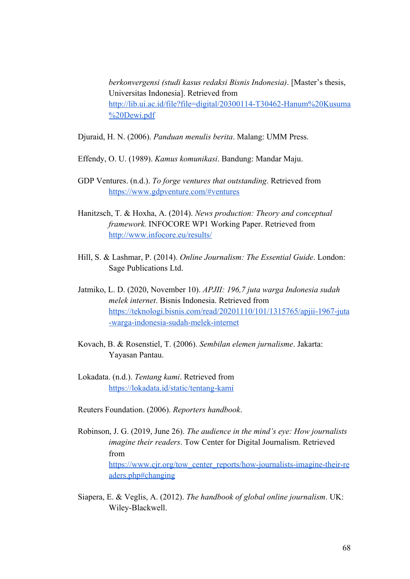*berkonvergensi (studi kasus redaksi Bisnis Indonesia)*. [Master's thesis, Universitas Indonesia]. Retrieved from [http://lib.ui.ac.id/file?file=digital/20300114-T30462-Hanum%20Kusuma](http://lib.ui.ac.id/file?file=digital/20300114-T30462-Hanum%20Kusuma%20Dewi.pdf) [%20Dewi.pdf](http://lib.ui.ac.id/file?file=digital/20300114-T30462-Hanum%20Kusuma%20Dewi.pdf)

Djuraid, H. N. (2006). *Panduan menulis berita*. Malang: UMM Press.

Effendy, O. U. (1989). *Kamus komunikasi*. Bandung: Mandar Maju.

- GDP Ventures. (n.d.). *To forge ventures that outstanding*. Retrieved from <https://www.gdpventure.com/#ventures>
- Hanitzsch, T. & Hoxha, A. (2014). *News production: Theory and conceptual framework.* INFOCORE WP1 Working Paper. Retrieved from <http://www.infocore.eu/results/>
- Hill, S. & Lashmar, P. (2014). *Online Journalism: The Essential Guide*. London: Sage Publications Ltd.
- Jatmiko, L. D. (2020, November 10). *APJII: 196,7 juta warga Indonesia sudah melek internet*. Bisnis Indonesia. Retrieved from [https://teknologi.bisnis.com/read/20201110/101/1315765/apjii-1967-juta](https://teknologi.bisnis.com/read/20201110/101/1315765/apjii-1967-juta-warga-indonesia-sudah-melek-internet) [-warga-indonesia-sudah-melek-internet](https://teknologi.bisnis.com/read/20201110/101/1315765/apjii-1967-juta-warga-indonesia-sudah-melek-internet)
- Kovach, B. & Rosenstiel, T. (2006). *Sembilan elemen jurnalisme*. Jakarta: Yayasan Pantau.
- Lokadata. (n.d.). *Tentang kami*. Retrieved from <https://lokadata.id/static/tentang-kami>
- Reuters Foundation. (2006). *Reporters handbook*.
- Robinson, J. G. (2019, June 26). *The audience in the mind's eye: How journalists imagine their readers*. Tow Center for Digital Journalism. Retrieved from [https://www.cjr.org/tow\\_center\\_reports/how-journalists-imagine-their-re](https://www.cjr.org/tow_center_reports/how-journalists-imagine-their-readers.php#changing) [aders.php#changing](https://www.cjr.org/tow_center_reports/how-journalists-imagine-their-readers.php#changing)
- Siapera, E. & Veglis, A. (2012). *The handbook of global online journalism*. UK: Wiley-Blackwell.